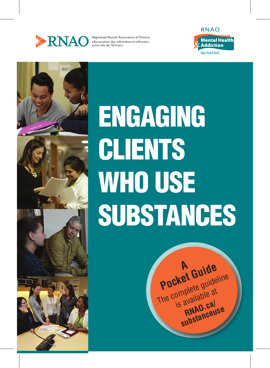# **RIMO** Registered Nurses' Association of Ontario

Registered Nurses' Association of Ontario autorisés de l'Ontario





# **ENGAGING CLIENTS** WHO USE **SUBSTANCES**

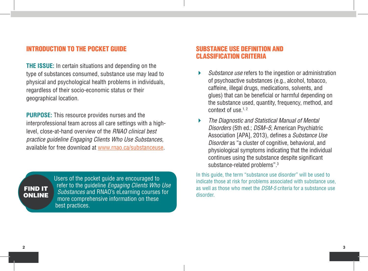#### Introduction to the Pocket Guide

**THE ISSUE:** In certain situations and depending on the type of substances consumed, substance use may lead to physical and psychological health problems in individuals, regardless of their socio-economic status or their geographical location.

**PURPOSE:** This resource provides nurses and the interprofessional team across all care settings with a highlevel, close-at-hand overview of the *RNAO clinical best practice guideline Engaging Clients Who Use Substances*, available for free download at www.rnao.ca/substanceuse.

Find it **ONLINE**  Users of the pocket guide are encouraged to refer to the guideline *Engaging Clients Who Use Substances* and RNAO's eLearning courses for more comprehensive information on these best practices.

#### SUBSTANCE USE DEFINITION AND CLASSIFICATION CRITERIA

- *Substance use* refers to the ingestion or administration of psychoactive substances (e.g., alcohol, tobacco, caffeine, illegal drugs, medications, solvents, and glues) that can be beneficial or harmful depending on the substance used, quantity, frequency, method, and context of use.<sup>1, 2</sup>
- *The Diagnostic and Statistical Manual of Mental Disorders* (5th ed.; *DSM–5*; American Psychiatric Association [APA], 2013), defines a *Substance Use Disorder* as "a cluster of cognitive, behavioral, and physiological symptoms indicating that the individual continues using the substance despite significant substance-related problems".3

In this guide, the term "substance use disorder" will be used to indicate those at risk for problems associated with substance use, as well as those who meet the *DSM-5* criteria for a substance use disorder.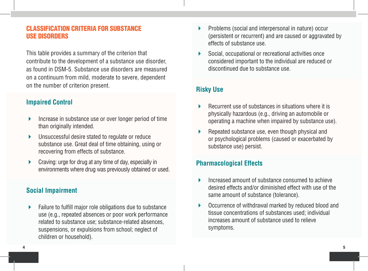#### CLASSIFICATION CRITERIA FOR SUBSTANCE USE DISORDERS

This table provides a summary of the criterion that contribute to the development of a substance use disorder, as found in DSM-5. Substance use disorders are measured on a continuum from mild, moderate to severe, dependent on the number of criterion present.

# **Impaired Control**

- Increase in substance use or over longer period of time than originally intended.
- Unsuccessful desire stated to regulate or reduce substance use. Great deal of time obtaining, using or recovering from effects of substance.
- Craving: urge for drug at any time of day, especially in environments where drug was previously obtained or used.

# **Social Impairment**

 Failure to fulfill major role obligations due to substance use (e.g., repeated absences or poor work performance related to substance use; substance-related absences, suspensions, or expulsions from school; neglect of children or household).

- Problems (social and interpersonal in nature) occur (persistent or recurrent) and are caused or aggravated by effects of substance use.
- Social, occupational or recreational activities once considered important to the individual are reduced or discontinued due to substance use.

# **Risky Use**

- Recurrent use of substances in situations where it is physically hazardous (e.g., driving an automobile or operating a machine when impaired by substance use).
- Repeated substance use, even though physical and or psychological problems (caused or exacerbated by substance use) persist.

#### **Pharmacological Effects**

- Increased amount of substance consumed to achieve desired effects and/or diminished effect with use of the same amount of substance (tolerance).
- ▶ Occurrence of withdrawal marked by reduced blood and tissue concentrations of substances used; individual increases amount of substance used to relieve symptoms.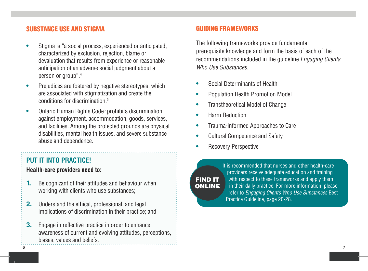#### SUBSTANCE USE AND STIGMA

- Stigma is "a social process, experienced or anticipated, characterized by exclusion, rejection, blame or devaluation that results from experience or reasonable anticipation of an adverse social judgment about a person or group".<sup>4</sup>
- Prejudices are fostered by negative stereotypes, which are associated with stigmatization and create the conditions for discrimination.5
- Ontario Human Rights Code<sup>6</sup> prohibits discrimination against employment, accommodation, goods, services, and facilities. Among the protected grounds are physical disabilities, mental health issues, and severe substance abuse and dependence.

# **PUT IT INTO PRACTICE!**

**Health-care providers need to:**

- **1.** Be cognizant of their attitudes and behaviour when working with clients who use substances;
- **2.** Understand the ethical, professional, and legal implications of discrimination in their practice; and
- **3.** Engage in reflective practice in order to enhance awareness of current and evolving attitudes, perceptions, biases, values and beliefs.

#### GUIDING FRAMEWORKS

The following frameworks provide fundamental prerequisite knowledge and form the basis of each of the recommendations included in the guideline *Engaging Clients Who Use Substances*.

- **Social Determinants of Health**
- **Population Health Promotion Model**
- **•**  Transtheoretical Model of Change
- **Harm Reduction**
- **Trauma-informed Approaches to Care**
- **Cultural Competence and Safety**
- **Recovery Perspective**

# Find it **ONLINE**

It is recommended that nurses and other health-care providers receive adequate education and training with respect to these frameworks and apply them in their daily practice. For more information, please refer to *Engaging Clients Who Use Substances* Best Practice Guideline, page 20-28.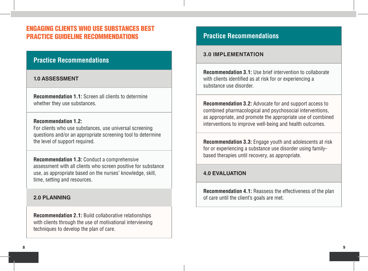# ENGAGING CLIENTS WHO USE SUBSTANCES BEST PRACTICE GUIDELINE RECOMMENDATIONS

# **Practice Recommendations**

#### **1.0 Assessment**

**Recommendation 1.1:** Screen all clients to determine whether they use substances.

#### **Recommendation 1.2:**

For clients who use substances, use universal screening questions and/or an appropriate screening tool to determine the level of support required.

**Recommendation 1.3:** Conduct a comprehensive assessment with all clients who screen positive for substance use, as appropriate based on the nurses' knowledge, skill, time, setting and resources.

#### **2.0 Planning**

**Recommendation 2.1:** Build collaborative relationships with clients through the use of motivational interviewing techniques to develop the plan of care.

# **Practice Recommendations**

#### **3.0 Implementation**

**Recommendation 3.1:** Use brief intervention to collaborate with clients identified as at risk for or experiencing a substance use disorder.

**Recommendation 3.2:** Advocate for and support access to combined pharmacological and psychosocial interventions, as appropriate, and promote the appropriate use of combined interventions to improve well-being and health outcomes.

**Recommendation 3.3:** Engage youth and adolescents at risk for or experiencing a substance use disorder using familybased therapies until recovery, as appropriate.

#### **4.0 Evaluation**

**Recommendation 4.1:** Reassess the effectiveness of the plan of care until the client's goals are met.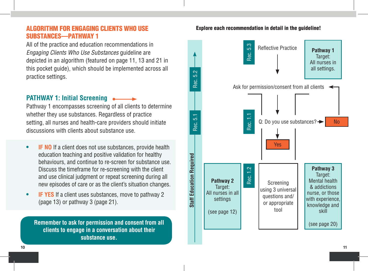#### Algorithm for Engaging Clients Who Use Substances—Pathway 1

All of the practice and education recommendations in *Engaging Clients Who Use Substances* guideline are depicted in an algorithm (featured on page 11, 13 and 21 in this pocket guide), which should be implemented across all practice settings.

# **PATHWAY 1: Initial Screening**

Pathway 1 encompasses screening of all clients to determine whether they use substances. Regardless of practice setting, all nurses and health-care providers should initiate discussions with clients about substance use.

- **• IF NO** If a client does not use substances, provide health education teaching and positive validation for healthy behaviours, and continue to re-screen for substance use. Discuss the timeframe for re-screening with the client and use clinical judgment or repeat screening during all new episodes of care or as the client's situation changes.
- **• IF YES** If a client uses substances, move to pathway 2 (page 13) or pathway 3 (page 21).

**Remember to ask for permission and consent from all clients to engage in a conversation about their substance use.**

#### Explore each recommendation in detail in the guideline!

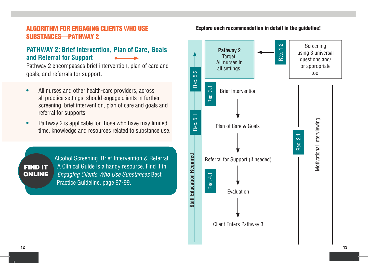## Algorithm for Engaging Clients Who Use Substances—Pathway 2

# **PATHWAY 2: Brief Intervention, Plan of Care, Goals and Referral for Support**

Pathway 2 encompasses brief intervention, plan of care and goals, and referrals for support.

- All nurses and other health-care providers, across all practice settings, should engage clients in further screening, brief intervention, plan of care and goals and referral for supports.
- Pathway 2 is applicable for those who have may limited time, knowledge and resources related to substance use.

Find it **ONLINE**  Alcohol Screening, Brief Intervention & Referral: A Clinical Guide is a handy resource. Find it in *Engaging Clients Who Use Substances* Best Practice Guideline, page 97-99.



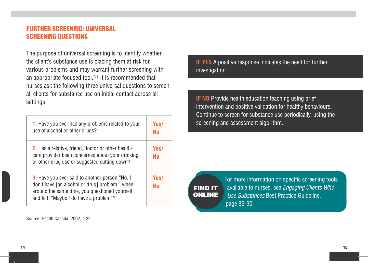### Further Screening: Universal Screening Questions

The purpose of universal screening is to identify whether the client's substance use is placing them at risk for various problems and may warrant further screening with an appropriate focused tool.<sup>7, 8</sup> It is recommended that nurses ask the following three universal questions to screen all clients for substance use on initial contact across all settings.

| <b>1.</b> Have you ever had any problems related to your<br>use of alcohol or other drugs?                                                                                                         | Yes/<br>N٥ |
|----------------------------------------------------------------------------------------------------------------------------------------------------------------------------------------------------|------------|
| <b>2.</b> Has a relative, friend, doctor or other health-<br>care provider been concerned about your drinking<br>or other drug use or suggested cutting down?                                      | Yes/<br>No |
| <b>3.</b> Have you ever said to another person "No, I<br>don't have [an alcohol or drug] problem," when<br>around the same time, you questioned yourself<br>and felt, "Maybe I do have a problem"? | Yes/<br>N٥ |

Source: Health Canada, 2002, p.32

**IF YES** A positive response indicates the need for further investigation.

**IF NO** Provide health education teaching using brief intervention and positive validation for healthy behaviours. Continue to screen for substance use periodically, using the screening and assessment algorithm.



For more information on specific screening tools available to nurses, see *Engaging Clients Who Use Substances* Best Practice Guideline, page 86-90.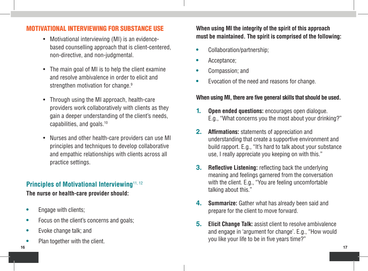# Motivational Interviewing for Substance Use

- Motivational interviewing (MI) is an evidencebased counselling approach that is client-centered, non-directive, and non-judgmental.
- The main goal of MI is to help the client examine and resolve ambivalence in order to elicit and strengthen motivation for change.<sup>9</sup>
- Through using the MI approach, health-care providers work collaboratively with clients as they gain a deeper understanding of the client's needs, capabilities, and goals.10
- • Nurses and other health-care providers can use MI principles and techniques to develop collaborative and empathic relationships with clients across all practice settings.

# **Principles of Motivational Interviewing**11, 12 **The nurse or health-care provider should:**

- **Engage with clients;**
- Focus on the client's concerns and goals:
- **•**  Evoke change talk; and
- **Plan together with the client.**

# **When using MI the integrity of the spirit of this approach must be maintained. The spirit is comprised of the following:**

- **•**  Collaboration/partnership;
- **•**  Acceptance;
- Compassion; and
- Evocation of the need and reasons for change.

#### **When using MI, there are five general skills that should be used.**

- **1. Open ended questions:** encourages open dialogue. E.g., "What concerns you the most about your drinking?"
- **2. Affirmations:** statements of appreciation and understanding that create a supportive environment and build rapport. E.g., "It's hard to talk about your substance use, I really appreciate you keeping on with this."
- **3. Reflective Listening:** reflecting back the underlying meaning and feelings garnered from the conversation with the client. E.g., "You are feeling uncomfortable talking about this."
- **4. Summarize:** Gather what has already been said and prepare for the client to move forward.
- **5. Elicit Change Talk:** assist client to resolve ambivalence and engage in 'argument for change'. E.g., "How would you like your life to be in five years time?"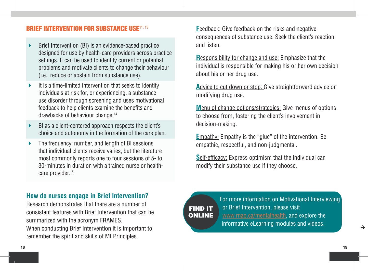#### **BRIEF INTERVENTION FOR SUBSTANCE USE<sup>11, 13</sup>**

- Brief Intervention (BI) is an evidence-based practice designed for use by health-care providers across practice settings. It can be used to identify current or potential problems and motivate clients to change their behaviour (i.e., reduce or abstain from substance use).
- It is a time-limited intervention that seeks to identify individuals at risk for, or experiencing, a substance use disorder through screening and uses motivational feedback to help clients examine the benefits and drawbacks of behaviour change.14
- BI as a client-centered approach respects the client's choice and autonomy in the formation of the care plan.
- The frequency, number, and length of BI sessions that individual clients receive varies, but the literature most commonly reports one to four sessions of 5- to 30-minutes in duration with a trained nurse or healthcare provider.<sup>15</sup>

**Feedback:** Give feedback on the risks and negative consequences of substance use. Seek the client's reaction and listen.

**R**esponsibility for change and use: Emphasize that the individual is responsible for making his or her own decision about his or her drug use.

**A**dvice to cut down or stop: Give straightforward advice on modifying drug use.

**M**enu of change options/strategies: Give menus of options to choose from, fostering the client's involvement in decision-making.

**E**mpathy: Empathy is the "glue" of the intervention. Be empathic, respectful, and non-judgmental.

**S**elf-efficacy: Express optimism that the individual can modify their substance use if they choose.

# **How do nurses engage in Brief Intervention?**

Research demonstrates that there are a number of consistent features with Brief Intervention that can be summarized with the acronym FRAMES. When conducting Brief Intervention it is important to remember the spirit and skills of MI Principles.

Find it **ONLINE**  For more information on Motivational Interviewing or Brief Intervention, please visit www.rnao.ca/mentalhealth, and explore the informative eLearning modules and videos.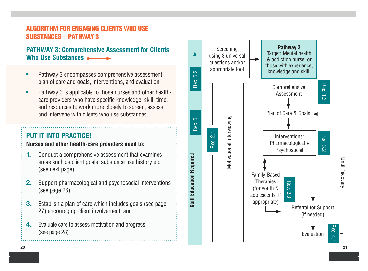# Algorithm for Engaging Clients Who Use Substances—Pathway 3

# **PATHWAY 3: Comprehensive Assessment for Clients Who Use Substances**

- **•**  Pathway 3 encompasses comprehensive assessment, plan of care and goals, interventions, and evaluation.
- Pathway 3 is applicable to those nurses and other healthcare providers who have specific knowledge, skill, time, and resources to work more closely to screen, assess and intervene with clients who use substances.

# **PUT IT INTO PRACTICE!**

#### **Nurses and other health-care providers need to:**

- **1.** Conduct a comprehensive assessment that examines areas such as client goals, substance use history etc. (see next page);
- **2.** Support pharmacological and psychosocial interventions (see page 26);
- **3.** Establish a plan of care which includes goals (see page 27) encouraging client involvement; and
- **4.** Evaluate care to assess motivation and progress (see page 28)

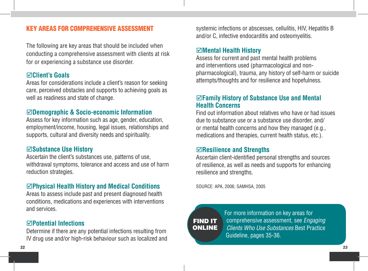#### Key Areas for Comprehensive Assessment

The following are key areas that should be included when conducting a comprehensive assessment with clients at risk for or experiencing a substance use disorder.

#### ;**Client's Goals**

Areas for considerations include a client's reason for seeking care, perceived obstacles and supports to achieving goals as well as readiness and state of change.

#### ;**Demographic & Socio-economic Information**

Assess for key information such as age, gender, education, employment/income, housing, legal issues, relationships and supports, cultural and diversity needs and spirituality.

#### ;**Substance Use History**

Ascertain the client's substances use, patterns of use, withdrawal symptoms, tolerance and access and use of harm reduction strategies.

# ;**Physical Health History and Medical Conditions**

Areas to assess include past and present diagnosed health conditions, medications and experiences with interventions and services.

#### ;**Potential Infections**

Determine if there are any potential infections resulting from IV drug use and/or high-risk behaviour such as localized and systemic infections or abscesses, cellulitis, HIV, Hepatitis B and/or C, infective endocarditis and osteomyelitis.

#### ;**Mental Health History**

Assess for current and past mental health problems and interventions used (pharmacological and nonpharmacological), trauma, any history of self-harm or suicide attempts/thoughts and for resilience and hopefulness.

#### ;**Family History of Substance Use and Mental Health Concerns**

Find out information about relatives who have or had issues due to substance use or a substance use disorder, and/ or mental health concerns and how they managed (e.g., medications and therapies, current health status, etc.).

#### ;**Resilience and Strengths**

Ascertain client-identified personal strengths and sources of resilience, as well as needs and supports for enhancing resilience and strengths.

SOURCE: APA, 2006; SAMHSA, 2005

# Find it **ONLINE**

For more information on key areas for comprehensive assessment, see *Engaging Clients Who Use Substances* Best Practice Guideline, pages 35-36.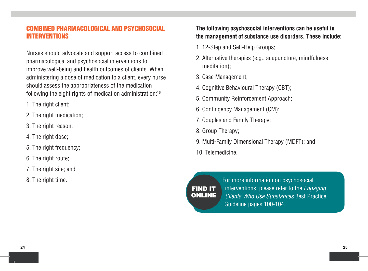#### Combined Pharmacological and Psychosocial **INTERVENTIONS**

Nurses should advocate and support access to combined pharmacological and psychosocial interventions to improve well-being and health outcomes of clients. When administering a dose of medication to a client, every nurse should assess the appropriateness of the medication following the eight rights of medication administration:16

- 1. The right client;
- 2. The right medication:
- 3. The right reason;
- 4. The right dose;
- 5. The right frequency;
- 6. The right route;
- 7. The right site; and
- 8. The right time.

# **The following psychosocial interventions can be useful in the management of substance use disorders. These include:**

- 1. 12-Step and Self-Help Groups;
- 2. Alternative therapies (e.g., acupuncture, mindfulness meditation);
- 3. Case Management;
- 4. Cognitive Behavioural Therapy (CBT);
- 5. Community Reinforcement Approach;
- 6. Contingency Management (CM);
- 7. Couples and Family Therapy;
- 8. Group Therapy;
- 9. Multi-Family Dimensional Therapy (MDFT); and
- 10. Telemedicine.



For more information on psychosocial interventions, please refer to the *Engaging Clients Who Use Substances* Best Practice Guideline pages 100-104.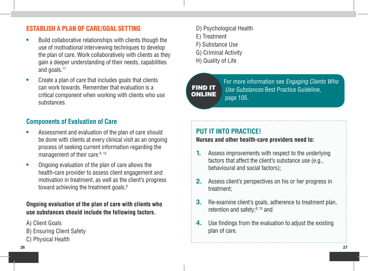# Establish a Plan of Care/Goal Setting

- **Build collaborative relationships with clients though the** use of motivational interviewing techniques to develop the plan of care. Work collaboratively with clients as they gain a deeper understanding of their needs, capabilities and goals.<sup>17</sup>
- **•**  Create a plan of care that includes goals that clients can work towards. Remember that evaluation is a critical component when working with clients who use substances.

# **Components of Evaluation of Care**

- Assessment and evaluation of the plan of care should be done with clients at every clinical visit as an ongoing process of seeking current information regarding the management of their care.<sup>8, 15</sup>
- **•**  Ongoing evaluation of the plan of care allows the health-care provider to assess client engagement and motivation in treatment, as well as the client's progress toward achieving the treatment goals.<sup>8</sup>

#### **Ongoing evaluation of the plan of care with clients who use substances should include the following factors.**

- A) Client Goals
- B) Ensuring Client Safety
- C) Physical Health
- D) Psychological Health
- E) Treatment
- F) Substance Use
- G) Criminal Activity
- H) Quality of Life

# Find it **ONLINE**

For more information see *Engaging Clients Who Use Substances* Best Practice Guideline, page 105.

# **PUT IT INTO PRACTICE!**

#### **Nurses and other health-care providers need to:**

- **1.** Assess improvements with respect to the underlying factors that affect the client's substance use (e.g., behavioural and social factors);
- **2.** Assess client's perspectives on his or her progress in treatment;
- **3.** Re-examine client's goals, adherence to treatment plan, retention and safety;8, 15 and
- **4.** Use findings from the evaluation to adjust the existing plan of care.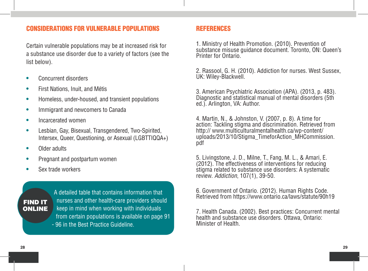#### CONSIDERATIONS FOR VULNERABLE POPULATIONS

Certain vulnerable populations may be at increased risk for a substance use disorder due to a variety of factors (see the list below).

- **•**  Concurrent disorders
- **•**  First Nations, Inuit, and Métis
- **•**  Homeless, under-housed, and transient populations
- **•**  Immigrant and newcomers to Canada
- **•**  Incarcerated women
- **•**  Lesbian, Gay, Bisexual, Transgendered, Two-Spirited, Intersex, Queer, Questioning, or Asexual (LGBTTIQQA+)
- **•**  Older adults
- Pregnant and postpartum women
- **Sex trade workers**

#### Find it **ONLINE**

A detailed table that contains information that nurses and other health-care providers should keep in mind when working with individuals from certain populations is available on page 91 - 96 in the Best Practice Guideline.

#### REFERENCES

1. Ministry of Health Promotion. (2010). Prevention of substance misuse guidance document. Toronto, ON: Queen's Printer for Ontario.

2. Rassool, G. H. (2010). Addiction for nurses. West Sussex, UK: Wiley-Blackwell.

3. American Psychiatric Association (APA). (2013, p. 483). Diagnostic and statistical manual of mental disorders (5th ed.). Arlington, VA: Author.

4. Martin, N., & Johnston, V. (2007, p. 8). A time for action: Tackling stigma and discrimination. Retrieved from http:// www.multiculturalmentalhealth.ca/wp-content/ uploads/2013/10/Stigma\_TimeforAction\_MHCommission. pdf

5. Livingstone, J. D., Milne, T., Fang, M. L., & Amari, E. (2012). The effectiveness of interventions for reducing stigma related to substance use disorders: A systematic review. *Addiction*, 107(1), 39-50.

6. Government of Ontario. (2012). Human Rights Code. Retrieved from https://www.ontario.ca/laws/statute/90h19

7. Health Canada. (2002). Best practices: Concurrent mental health and substance use disorders. Ottawa, Ontario: Minister of Health.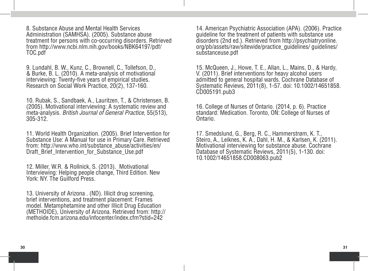8. Substance Abuse and Mental Health Services Administration (SAMHSA). (2005). Substance abuse treatment for persons with co-occurring disorders. Retrieved from http://www.ncbi.nlm.nih.gov/books/NBK64197/pdf/ TOC.pdf

9. Lundahl, B. W., Kunz, C., Brownell, C., Tollefson, D., & Burke, B. L. (2010). A meta-analysis of motivational interviewing: Twenty-five years of empirical studies. Research on Social Work Practice, 20(2), 137-160.

10. Rubak, S., Sandbaek, A., Lauritzen, T., & Christensen, B. (2005). Motivational interviewing: A systematic review and meta-analysis. *British Journal of General Practice*, 55(513), 305-312.

11. World Health Organization. (2005). Brief Intervention for Substance Use: A Manual for use in Primary Care. Retrieved from: http://www.who.int/substance\_abuse/activities/en/ Draft\_Brief\_Intervention\_for\_Substance\_Use.pdf

12. Miller, W.R. & Rollnick, S. (2013). Motivational Interviewing: Helping people change, Third Edition. New York: NY. The Guilford Press.

13. University of Arizona . (ND). Illicit drug screening, brief interventions, and treatment placement: Frames model. Metamphetamine and other Illicit Drug Education (METHOIDE), University of Arizona. Retrieved from: http:// methoide.fcm.arizona.edu/infocenter/index.cfm?stid=242

14. American Psychiatric Association (APA). (2006). Practice guideline for the treatment of patients with substance use disorders (2nd ed.). Retrieved from http://psychiatryonline. org/pb/assets/raw/sitewide/practice\_guidelines/ guidelines/ substanceuse.pdf

15. McQueen, J., Howe, T. E., Allan, L., Mains, D., & Hardy, V. (2011). Brief interventions for heavy alcohol users admitted to general hospital wards. Cochrane Database of Systematic Reviews, 2011(8), 1-57. doi: 10.1002/14651858. CD005191.pub3

16. College of Nurses of Ontario. (2014, p. 6). Practice standard: Medication. Toronto, ON: College of Nurses of Ontario.

17. Smedslund, G., Berg, R. C., Hammerstrøm, K. T., Steiro, A., Leiknes, K. A., Dahl, H. M., & Karlsen, K. (2011). Motivational interviewing for substance abuse. Cochrane Database of Systematic Reviews, 2011(5), 1-130. doi: 10.1002/14651858.CD008063.pub2